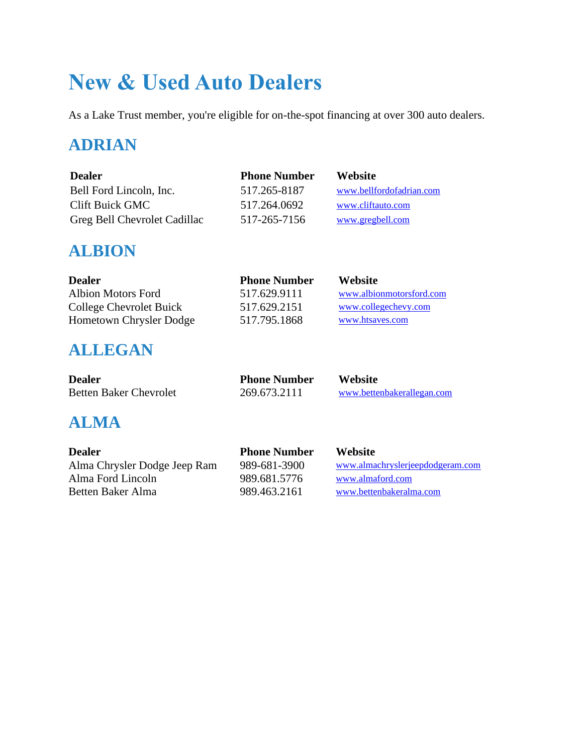# **New & Used Auto Dealers**

As a Lake Trust member, you're eligible for on-the-spot financing at over 300 auto dealers.

## **ADRIAN**

| <b>Dealer</b>                | <b>Phone Number</b> | <b>Website</b>           |
|------------------------------|---------------------|--------------------------|
| Bell Ford Lincoln, Inc.      | 517.265-8187        | www.bellfordofadrian.com |
| Clift Buick GMC              | 517.264.0692        | www.cliftauto.com        |
| Greg Bell Chevrolet Cadillac | 517-265-7156        | www.gregbell.com         |

### **ALBION**

| <b>Dealer</b>             | <b>Phone Number</b> | Website                  |
|---------------------------|---------------------|--------------------------|
| <b>Albion Motors Ford</b> | 517.629.9111        | www.albionmotorsford.com |
| College Chevrolet Buick   | 517.629.2151        | www.collegechevy.com     |
| Hometown Chrysler Dodge   | 517.795.1868        | www.htsayes.com          |

## **ALLEGAN**

| <b>Dealer</b>                 | <b>Phone Number</b> | Website                    |
|-------------------------------|---------------------|----------------------------|
| <b>Betten Baker Chevrolet</b> | 269.673.2111        | www.bettenbakerallegan.com |

# **ALMA**

| <b>Dealer</b>                | <b>Phone Number</b> | <b>Website</b>                   |
|------------------------------|---------------------|----------------------------------|
| Alma Chrysler Dodge Jeep Ram | 989-681-3900        | www.almachryslerjeepdodgeram.com |
| Alma Ford Lincoln            | 989.681.5776        | www.almaford.com                 |
| Betten Baker Alma            | 989.463.2161        | www.bettenbakeralma.com          |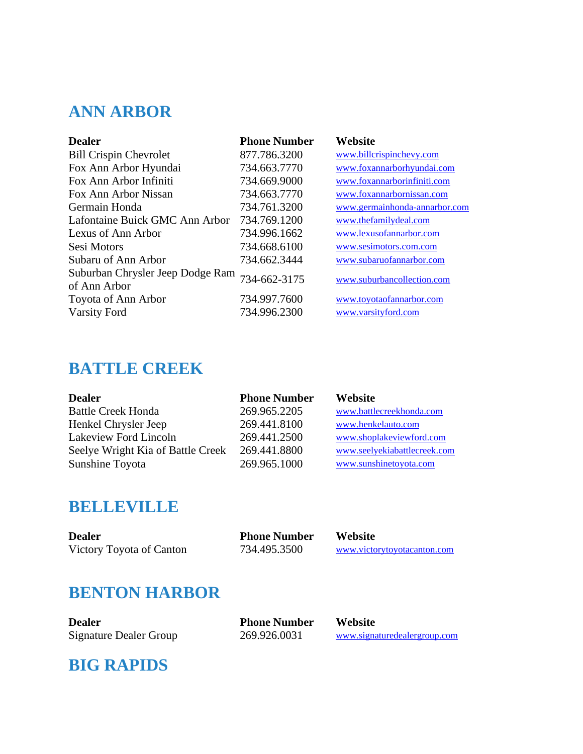## **ANN ARBOR**

| <b>Dealer</b>                                    | <b>Phone Number</b> | Website                       |
|--------------------------------------------------|---------------------|-------------------------------|
| <b>Bill Crispin Chevrolet</b>                    | 877.786.3200        | www.billcrispinchevy.com      |
| Fox Ann Arbor Hyundai                            | 734.663.7770        | www.foxannarborhyundai.com    |
| Fox Ann Arbor Infiniti                           | 734.669.9000        | www.foxannarborinfiniti.com   |
| Fox Ann Arbor Nissan                             | 734.663.7770        | www.foxannarbornissan.com     |
| Germain Honda                                    | 734.761.3200        | www.germainhonda-annarbor.com |
| Lafontaine Buick GMC Ann Arbor                   | 734.769.1200        | www.thefamilydeal.com         |
| Lexus of Ann Arbor                               | 734.996.1662        | www.lexusofannarbor.com       |
| Sesi Motors                                      | 734.668.6100        | www.sesimotors.com.com        |
| Subaru of Ann Arbor                              | 734.662.3444        | www.subaruofannarbor.com      |
| Suburban Chrysler Jeep Dodge Ram<br>of Ann Arbor | 734-662-3175        | www.suburbancollection.com    |
| Toyota of Ann Arbor                              | 734.997.7600        | www.toyotaofannarbor.com      |
| <b>Varsity Ford</b>                              | 734.996.2300        | www.varsityford.com           |

### **BATTLE CREEK**

| <b>Dealer</b>                     | <b>Phone Number</b> | Website                      |
|-----------------------------------|---------------------|------------------------------|
| <b>Battle Creek Honda</b>         | 269.965.2205        | www.battlecreekhonda.com     |
| Henkel Chrysler Jeep              | 269.441.8100        | www.henkelauto.com           |
| Lakeview Ford Lincoln             | 269.441.2500        | www.shoplakeviewford.com     |
| Seelye Wright Kia of Battle Creek | 269.441.8800        | www.seelyekiabattlecreek.com |
| Sunshine Toyota                   | 269.965.1000        | www.sunshinetoyota.com       |

### **BELLEVILLE**

| <b>Dealer</b>            | <b>Phone Number</b> | Website                     |
|--------------------------|---------------------|-----------------------------|
| Victory Toyota of Canton | 734.495.3500        | www.victorytoyotacanton.com |

### **BENTON HARBOR**

| Dealer                        |  |
|-------------------------------|--|
| <b>Signature Dealer Group</b> |  |

**Phone Number Website** 

269.926.0031 [www.signaturedealergroup.com](http://www.signaturedealergroup.com/)

### **BIG RAPIDS**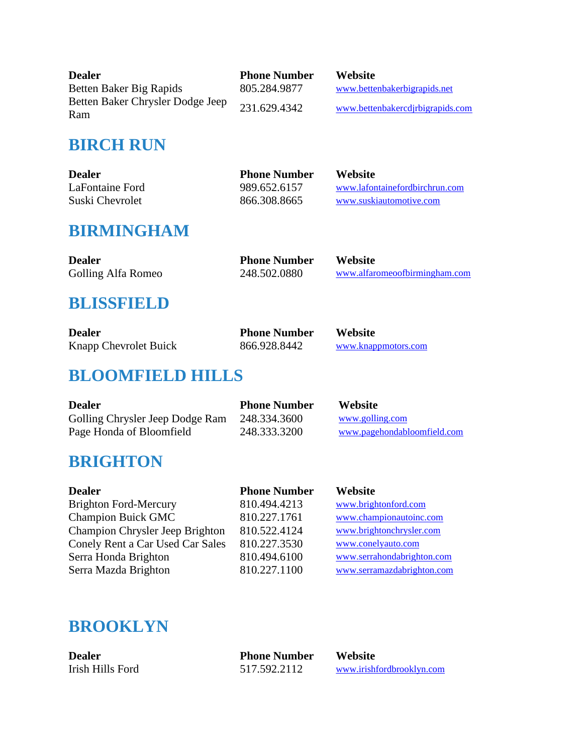| <b>Dealer</b>                           | <b>Phone Number</b> | Website                          |
|-----------------------------------------|---------------------|----------------------------------|
| Betten Baker Big Rapids                 | 805.284.9877        | www.bettenbakerbigrapids.net     |
| Betten Baker Chrysler Dodge Jeep<br>Ram | 231.629.4342        | www.bettenbakercdjrbigrapids.com |

### **BIRCH RUN**

| <b>Dealer</b>   | <b>Phone Number</b> | <b>Website</b>                 |
|-----------------|---------------------|--------------------------------|
| LaFontaine Ford | 989.652.6157        | www.lafontainefordbirchrun.com |
| Suski Chevrolet | 866.308.8665        | www.suskiautomotive.com        |

## **BIRMINGHAM**

| <b>Dealer</b>      | <b>Phone Number</b> | Website                       |
|--------------------|---------------------|-------------------------------|
| Golling Alfa Romeo | 248.502.0880        | www.alfaromeoofbirmingham.com |

### **BLISSFIELD**

| <b>Dealer</b>         | <b>Phone Number</b> | <b>Website</b>      |
|-----------------------|---------------------|---------------------|
| Knapp Chevrolet Buick | 866.928.8442        | www.knappmotors.com |

## **BLOOMFIELD HILLS**

| <b>Dealer</b>                   | <b>Phone Number</b> | <b>Website</b>              |
|---------------------------------|---------------------|-----------------------------|
| Golling Chrysler Jeep Dodge Ram | 248.334.3600        | www.golling.com             |
| Page Honda of Bloomfield        | 248.333.3200        | www.pagehondabloomfield.com |

## **BRIGHTON**

| <b>Dealer</b>                    | <b>Phone Number</b> | Website                    |
|----------------------------------|---------------------|----------------------------|
| <b>Brighton Ford-Mercury</b>     | 810.494.4213        | www.brightonford.com       |
| <b>Champion Buick GMC</b>        | 810.227.1761        | www.championautoinc.com    |
| Champion Chrysler Jeep Brighton  | 810.522.4124        | www.brightonchrysler.com   |
| Conely Rent a Car Used Car Sales | 810.227.3530        | www.conelyauto.com         |
| Serra Honda Brighton             | 810.494.6100        | www.serrahondabrighton.com |
| Serra Mazda Brighton             | 810.227.1100        | www.serramazdabrighton.com |
|                                  |                     |                            |

## **BROOKLYN**

| <b>Dealer</b>    | <b>Phone Number</b> | <b>Website</b>            |
|------------------|---------------------|---------------------------|
| Irish Hills Ford | 517.592.2112        | www.irishfordbrooklyn.com |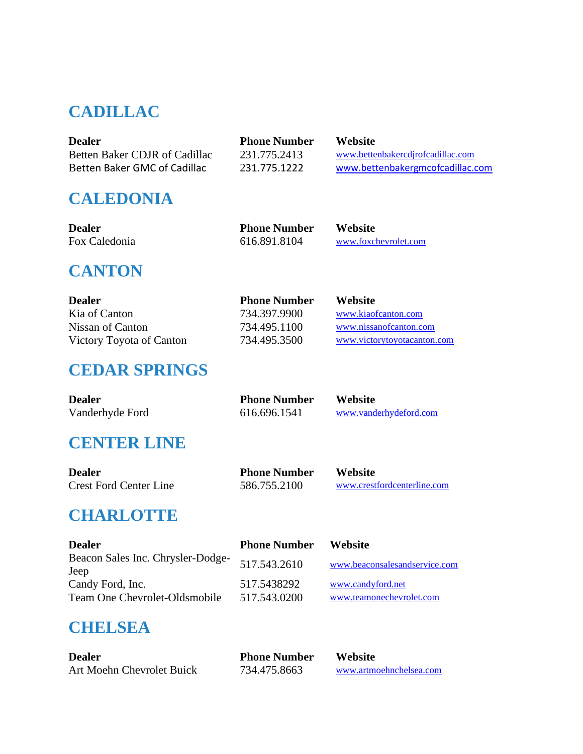## **CADILLAC**

| <b>Dealer</b>                 | <b>Phone Number</b> | <b>Website</b>                    |
|-------------------------------|---------------------|-----------------------------------|
| Betten Baker CDJR of Cadillac | 231.775.2413        | www.bettenbakercdirofcadillac.com |
| Betten Baker GMC of Cadillac  | 231.775.1222        | www.bettenbakergmcofcadillac.com  |

## **CALEDONIA**

| Dealer        |  |
|---------------|--|
| Fox Caledonia |  |

| <b>Phone Number</b> |
|---------------------|
| 616.891.8104        |

**Website** [www.foxchevrolet.com](http://www.foxchevrolet.com/)

## **CANTON**

| <b>Dealer</b>            | <b>Phone Number</b> | <b>Website</b>              |
|--------------------------|---------------------|-----------------------------|
| Kia of Canton            | 734.397.9900        | www.kiaofcanton.com         |
| Nissan of Canton         | 734.495.1100        | www.nissanofcanton.com      |
| Victory Toyota of Canton | 734.495.3500        | www.victorytoyotacanton.com |

# **CEDAR SPRINGS**

| <b>Dealer</b>   | <b>Phone Number</b> | <b>Website</b>         |
|-----------------|---------------------|------------------------|
| Vanderhyde Ford | 616.696.1541        | www.vanderhydeford.com |

## **CENTER LINE**

| <b>Dealer</b>                 | <b>Phone Number</b> | Website                     |
|-------------------------------|---------------------|-----------------------------|
| <b>Crest Ford Center Line</b> | 586.755.2100        | www.crestfordcenterline.com |

## **CHARLOTTE**

| <b>Dealer</b>                                     | <b>Phone Number</b>         | Website                                       |
|---------------------------------------------------|-----------------------------|-----------------------------------------------|
| Beacon Sales Inc. Chrysler-Dodge-<br>Jeep         | 517.543.2610                | www.beaconsalesandservice.com                 |
| Candy Ford, Inc.<br>Team One Chevrolet-Oldsmobile | 517.5438292<br>517.543.0200 | www.candyford.net<br>www.teamonechevrolet.com |

## **CHELSEA**

| <b>Dealer</b>             | <b>Phone Number</b> | Website                 |
|---------------------------|---------------------|-------------------------|
| Art Moehn Chevrolet Buick | 734.475.8663        | www.artmoehnchelsea.com |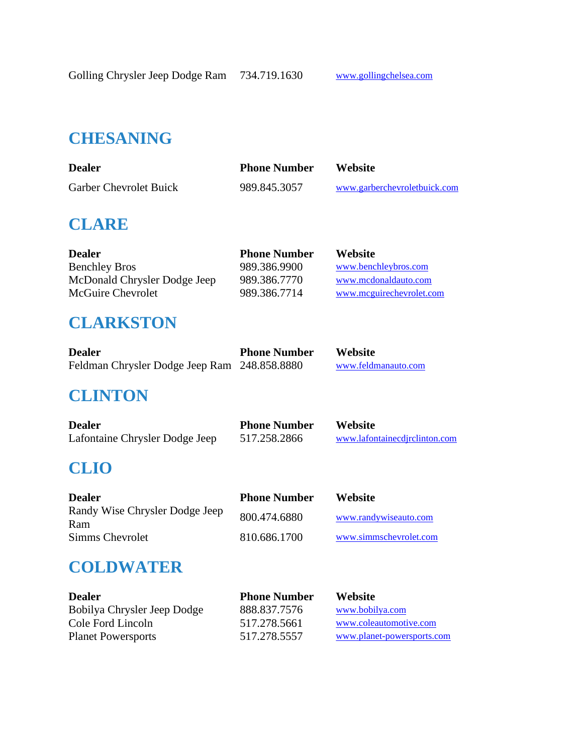### **CHESANING**

| <b>Dealer</b>                 | <b>Phone Number</b> | <b>Website</b>               |
|-------------------------------|---------------------|------------------------------|
| <b>Garber Chevrolet Buick</b> | 989.845.3057        | www.garberchevroletbuick.com |

### **CLARE**

| <b>Dealer</b>                | <b>Phone Number</b> | Website                  |
|------------------------------|---------------------|--------------------------|
| <b>Benchley Bros</b>         | 989.386.9900        | www.benchleybros.com     |
| McDonald Chrysler Dodge Jeep | 989.386.7770        | www.mcdonaldauto.com     |
| McGuire Chevrolet            | 989.386.7714        | www.mcguirechevrolet.com |

### **CLARKSTON**

| <b>Dealer</b>                                | <b>Phone Number</b> | <b>Website</b>      |
|----------------------------------------------|---------------------|---------------------|
| Feldman Chrysler Dodge Jeep Ram 248.858.8880 |                     | www.feldmanauto.com |

### **CLINTON**

| <b>Dealer</b>                  | <b>Phone Number</b> | <b>Website</b>                |
|--------------------------------|---------------------|-------------------------------|
| Lafontaine Chrysler Dodge Jeep | 517.258.2866        | www.lafontainecdirclinton.com |

## **CLIO**

| <b>Dealer</b>                         | <b>Phone Number</b> | <b>Website</b>         |
|---------------------------------------|---------------------|------------------------|
| Randy Wise Chrysler Dodge Jeep<br>Ram | 800.474.6880        | www.randywiseauto.com  |
| Simms Chevrolet                       | 810.686.1700        | www.simmschevrolet.com |

### **COLDWATER**

| <b>Dealer</b>               | <b>Phone Number</b> | <b>Website</b>             |
|-----------------------------|---------------------|----------------------------|
| Bobilya Chrysler Jeep Dodge | 888.837.7576        | www.bobilya.com            |
| Cole Ford Lincoln           | 517.278.5661        | www.coleautomotive.com     |
| <b>Planet Powersports</b>   | 517.278.5557        | www.planet-powersports.com |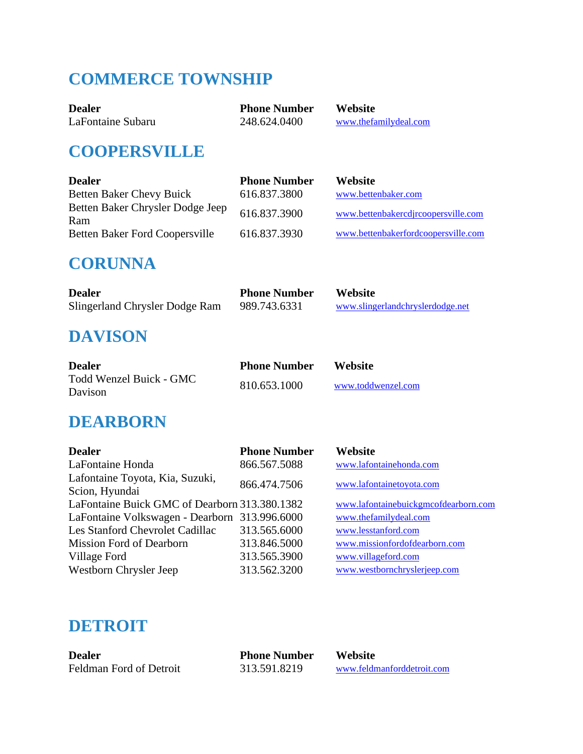# **COMMERCE TOWNSHIP**

| <b>Dealer</b>     | <b>Phone Number</b> | <b>Website</b>        |
|-------------------|---------------------|-----------------------|
| LaFontaine Subaru | 248.624.0400        | www.thefamilydeal.com |

### **COOPERSVILLE**

| <b>Dealer</b>                           | <b>Phone Number</b> | <b>Website</b>                      |
|-----------------------------------------|---------------------|-------------------------------------|
| <b>Betten Baker Chevy Buick</b>         | 616.837.3800        | www.bettenbaker.com                 |
| Betten Baker Chrysler Dodge Jeep<br>Ram | 616.837.3900        | www.bettenbakercdjrcoopersville.com |
| <b>Betten Baker Ford Coopersville</b>   | 616.837.3930        | www.bettenbakerfordcoopersville.com |

### **CORUNNA**

| <b>Dealer</b>                  | <b>Phone Number</b> | <b>Website</b>                   |
|--------------------------------|---------------------|----------------------------------|
| Slingerland Chrysler Dodge Ram | 989.743.6331        | www.slingerlandchryslerdodge.net |

### **DAVISON**

| <b>Dealer</b>                      | <b>Phone Number</b> | <b>Website</b>     |
|------------------------------------|---------------------|--------------------|
| Todd Wenzel Buick - GMC<br>Davison | 810.653.1000        | www.toddwenzel.com |

### **DEARBORN**

| <b>Phone Number</b>                           | Website                              |
|-----------------------------------------------|--------------------------------------|
| 866.567.5088                                  | www.lafontainehonda.com              |
|                                               | www.lafontainetoyota.com             |
|                                               |                                      |
| LaFontaine Buick GMC of Dearborn 313.380.1382 | www.lafontainebuickgmcofdearborn.com |
| LaFontaine Volkswagen - Dearborn 313.996.6000 | www.thefamilydeal.com                |
| 313.565.6000                                  | www.lesstanford.com                  |
| 313.846.5000                                  | www.missionfordofdearborn.com        |
| 313.565.3900                                  | www.villageford.com                  |
| 313.562.3200                                  | www.westbornchryslerjeep.com         |
|                                               | 866.474.7506                         |

### **DETROIT**

| <b>Dealer</b>           | <b>Phone Number</b> | <b>Website</b>             |
|-------------------------|---------------------|----------------------------|
| Feldman Ford of Detroit | 313.591.8219        | www.feldmanforddetroit.com |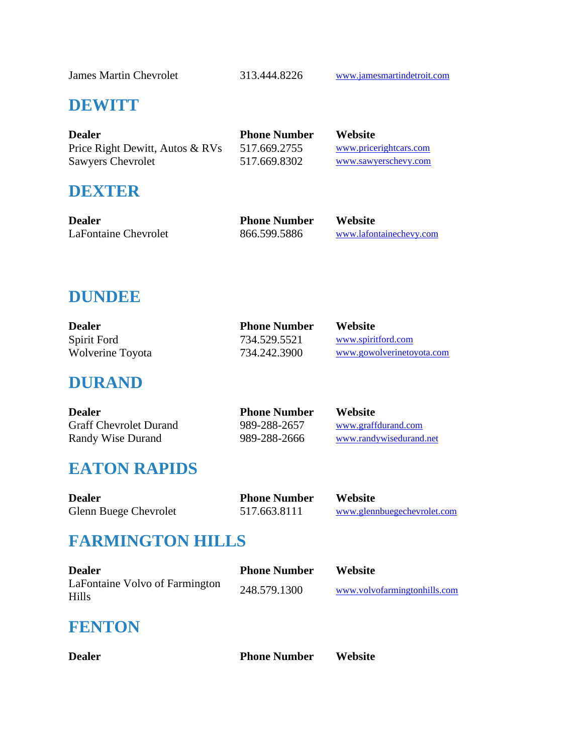James Martin Chevrolet 313.444.8226 [www.jamesmartindetroit.com](http://www.sawyerschevy.com/)

#### **DEWITT**

| <b>Dealer</b>                   | <b>Phone Number</b> | <b>Website</b>         |
|---------------------------------|---------------------|------------------------|
| Price Right Dewitt, Autos & RVs | 517.669.2755        | www.pricerightcars.com |
| <b>Sawyers Chevrolet</b>        | 517.669.8302        | www.sawyerschevy.com   |

#### **DEXTER**

| <b>Dealer</b>        | <b>Phone Number</b> | Website                 |
|----------------------|---------------------|-------------------------|
| LaFontaine Chevrolet | 866.599.5886        | www.lafontainechevy.com |

### **DUNDEE**

| <b>Dealer</b>    | <b>Phone Number</b> | <b>Website</b>            |
|------------------|---------------------|---------------------------|
| Spirit Ford      | 734.529.5521        | www.spiritford.com        |
| Wolverine Toyota | 734.242.3900        | www.gowolverinetoyota.com |

### **DURAND**

| <b>Dealer</b>                 | <b>Phone Number</b> | <b>Website</b>          |
|-------------------------------|---------------------|-------------------------|
| <b>Graff Chevrolet Durand</b> | 989-288-2657        | www.graffdurand.com     |
| Randy Wise Durand             | 989-288-2666        | www.randywisedurand.net |

### **EATON RAPIDS**

| <b>Dealer</b>         | <b>Phone Number</b> | <b>Website</b>              |
|-----------------------|---------------------|-----------------------------|
| Glenn Buege Chevrolet | 517.663.8111        | www.glennbuegechevrolet.com |

## **FARMINGTON HILLS**

| <b>Dealer</b>                           | <b>Phone Number</b> | <b>Website</b>               |
|-----------------------------------------|---------------------|------------------------------|
| LaFontaine Volvo of Farmington<br>Hills | 248.579.1300        | www.volvofarmingtonhills.com |

#### **FENTON**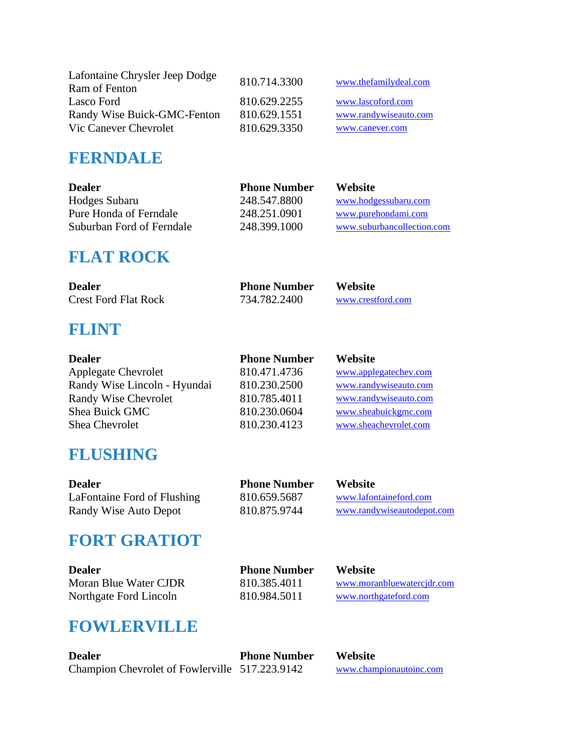| Lafontaine Chrysler Jeep Dodge | 810.714.3300 | www.thefamilydeal.com |
|--------------------------------|--------------|-----------------------|
| Ram of Fenton                  |              |                       |
| Lasco Ford                     | 810.629.2255 | www.lascoford.com     |
| Randy Wise Buick-GMC-Fenton    | 810.629.1551 | www.randywiseauto.com |
| Vic Canever Chevrolet          | 810.629.3350 | www.canever.com       |

## **FERNDALE**

| <b>Phone Number</b> | <b>Website</b>             |
|---------------------|----------------------------|
| 248.547.8800        | www.hodgessubaru.com       |
| 248.251.0901        | www.purehondami.com        |
| 248.399.1000        | www.suburbancollection.com |
|                     |                            |

## **FLAT ROCK**

| <b>Dealer</b>               | <b>Phone Number</b> | <b>Website</b>    |
|-----------------------------|---------------------|-------------------|
| <b>Crest Ford Flat Rock</b> | 734.782.2400        | www.crestford.com |

## **FLINT**

| <b>Dealer</b>                | <b>Phone Number</b> | Website               |
|------------------------------|---------------------|-----------------------|
| <b>Applegate Chevrolet</b>   | 810.471.4736        | www.applegatechev.com |
| Randy Wise Lincoln - Hyundai | 810.230.2500        | www.randywiseauto.com |
| Randy Wise Chevrolet         | 810.785.4011        | www.randywiseauto.com |
| <b>Shea Buick GMC</b>        | 810.230.0604        | www.sheabuickgmc.com  |
| Shea Chevrolet               | 810.230.4123        | www.sheachevrolet.com |
|                              |                     |                       |

### **FLUSHING**

| Dealer                      | <b>Phone Number</b> | Website                    |
|-----------------------------|---------------------|----------------------------|
| LaFontaine Ford of Flushing | 810.659.5687        | www.lafontaineford.com     |
| Randy Wise Auto Depot       | 810.875.9744        | www.randywiseautodepot.com |

## **FORT GRATIOT**

| Dealer                 | <b>Phone Number</b> | <b>Website</b>             |
|------------------------|---------------------|----------------------------|
| Moran Blue Water CJDR  | 810.385.4011        | www.moranbluewatercidr.com |
| Northgate Ford Lincoln | 810.984.5011        | www.northgateford.com      |
|                        |                     |                            |

## **FOWLERVILLE**

| <b>Dealer</b>                                  | <b>Phone Number</b> | <b>Website</b>          |
|------------------------------------------------|---------------------|-------------------------|
| Champion Chevrolet of Fowlerville 517.223.9142 |                     | www.championautoinc.com |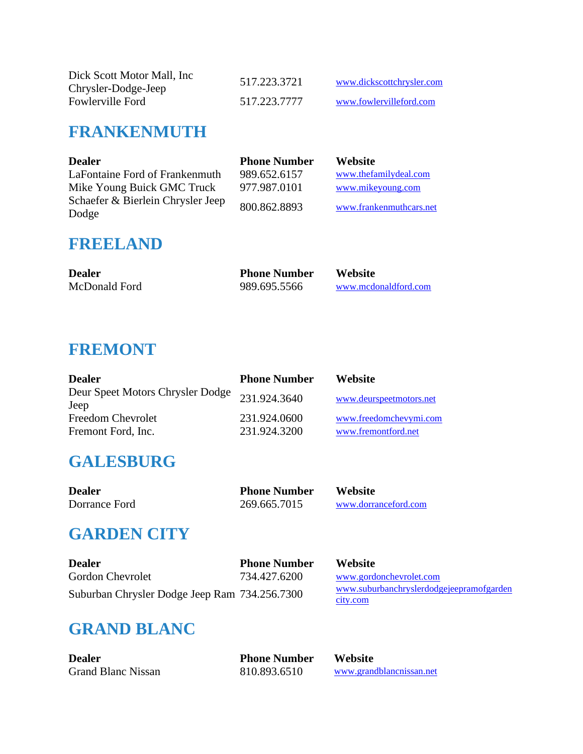| Dick Scott Motor Mall, Inc. | 517.223.3721 | www.dickscottchrysler.com |
|-----------------------------|--------------|---------------------------|
| Chrysler-Dodge-Jeep         |              |                           |
| Fowlerville Ford            | 517.223.7777 | www.fowlervilleford.com   |

### **FRANKENMUTH**

| <b>Dealer</b>                              | <b>Phone Number</b> | <b>Website</b>          |
|--------------------------------------------|---------------------|-------------------------|
| LaFontaine Ford of Frankenmuth             | 989.652.6157        | www.thefamilydeal.com   |
| Mike Young Buick GMC Truck                 | 977.987.0101        | www.mikeyoung.com       |
| Schaefer & Bierlein Chrysler Jeep<br>Dodge | 800.862.8893        | www.frankenmuthcars.net |

#### **FREELAND**

| <b>Dealer</b> | <b>Phone Number</b> | <b>Website</b>       |
|---------------|---------------------|----------------------|
| McDonald Ford | 989.695.5566        | www.mcdonaldford.com |

## **FREMONT**

| <b>Dealer</b>                            | <b>Phone Number</b>          | Website                                       |
|------------------------------------------|------------------------------|-----------------------------------------------|
| Deur Speet Motors Chrysler Dodge<br>Jeep | 231.924.3640                 | www.deurspeetmotors.net                       |
| Freedom Chevrolet<br>Fremont Ford, Inc.  | 231.924.0600<br>231.924.3200 | www.freedomchevymi.com<br>www.fremontford.net |

## **GALESBURG**

| <b>Dealer</b> | <b>Phone Number</b> | <b>Website</b>       |
|---------------|---------------------|----------------------|
| Dorrance Ford | 269.665.7015        | www.dorranceford.com |

## **GARDEN CITY**

| <b>Dealer</b>                                 | <b>Phone Number</b> | <b>Website</b>                                       |
|-----------------------------------------------|---------------------|------------------------------------------------------|
| Gordon Chevrolet                              | 734.427.6200        | www.gordonchevrolet.com                              |
| Suburban Chrysler Dodge Jeep Ram 734.256.7300 |                     | www.suburbanchryslerdodgejeepramofgarden<br>city.com |

# **GRAND BLANC**

| <b>Dealer</b>             | <b>Phone Number</b> | <b>Website</b>           |
|---------------------------|---------------------|--------------------------|
| <b>Grand Blanc Nissan</b> | 810.893.6510        | www.grandblancnissan.net |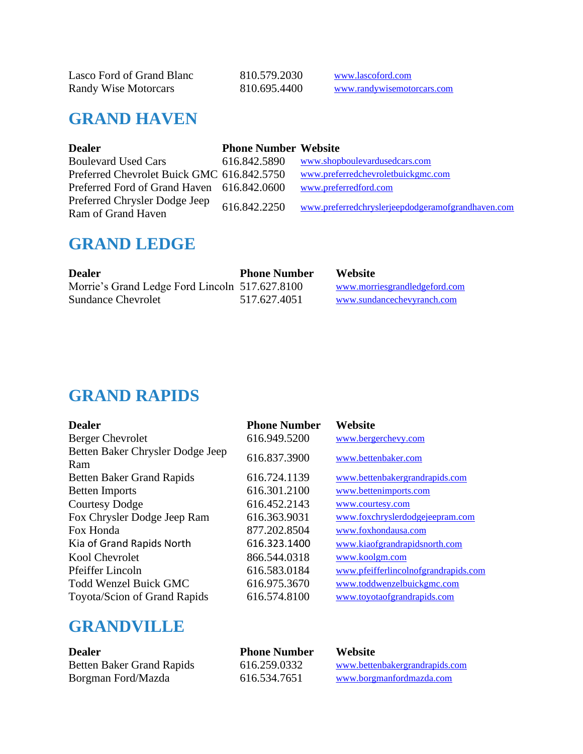| Lasco Ford of Grand Blanc   | 810.579.2030 | www.lascoford.com          |
|-----------------------------|--------------|----------------------------|
| <b>Randy Wise Motorcars</b> | 810.695.4400 | www.randywisemotorcars.com |

## **GRAND HAVEN**

| <b>Dealer</b>                              | <b>Phone Number Website</b> |                                                   |
|--------------------------------------------|-----------------------------|---------------------------------------------------|
| <b>Boulevard Used Cars</b>                 | 616.842.5890                | www.shopboulevardusedcars.com                     |
| Preferred Chevrolet Buick GMC 616.842.5750 |                             | www.preferredchevroletbuickgmc.com                |
| Preferred Ford of Grand Haven 616.842.0600 |                             | www.preferredford.com                             |
| Preferred Chrysler Dodge Jeep              | 616.842.2250                | www.preferredchryslerjeepdodgeramofgrandhaven.com |
| Ram of Grand Haven                         |                             |                                                   |

### **GRAND LEDGE**

| <b>Dealer</b>                                  | <b>Phone Number</b> | <b>Website</b>                |
|------------------------------------------------|---------------------|-------------------------------|
| Morrie's Grand Ledge Ford Lincoln 517.627.8100 |                     | www.morriesgrandledgeford.com |
| <b>Sundance Chevrolet</b>                      | 517.627.4051        | www.sundancechevyranch.com    |

### **GRAND RAPIDS**

| <b>Dealer</b>                           | <b>Phone Number</b> | Website                              |
|-----------------------------------------|---------------------|--------------------------------------|
| <b>Berger Chevrolet</b>                 | 616.949.5200        | www.bergerchevy.com                  |
| Betten Baker Chrysler Dodge Jeep<br>Ram | 616.837.3900        | www.bettenbaker.com                  |
| <b>Betten Baker Grand Rapids</b>        | 616.724.1139        | www.bettenbakergrandrapids.com       |
| <b>Betten Imports</b>                   | 616.301.2100        | www.bettenimports.com                |
| <b>Courtesy Dodge</b>                   | 616.452.2143        | www.courtesy.com                     |
| Fox Chrysler Dodge Jeep Ram             | 616.363.9031        | www.foxchryslerdodgejeepram.com      |
| Fox Honda                               | 877.202.8504        | www.foxhondausa.com                  |
| Kia of Grand Rapids North               | 616.323.1400        | www.kiaofgrandrapidsnorth.com        |
| Kool Chevrolet                          | 866.544.0318        | www.koolgm.com                       |
| Pfeiffer Lincoln                        | 616.583.0184        | www.pfeifferlincolnofgrandrapids.com |
| <b>Todd Wenzel Buick GMC</b>            | 616.975.3670        | www.toddwenzelbuickgmc.com           |
| Toyota/Scion of Grand Rapids            | 616.574.8100        | www.toyotaofgrandrapids.com          |

## **GRANDVILLE**

| <b>Dealer</b>                    | <b>Phone Number</b> | <b>Website</b>                 |
|----------------------------------|---------------------|--------------------------------|
| <b>Betten Baker Grand Rapids</b> | 616.259.0332        | www.bettenbakergrandrapids.com |
| Borgman Ford/Mazda               | 616.534.7651        | www.borgmanfordmazda.com       |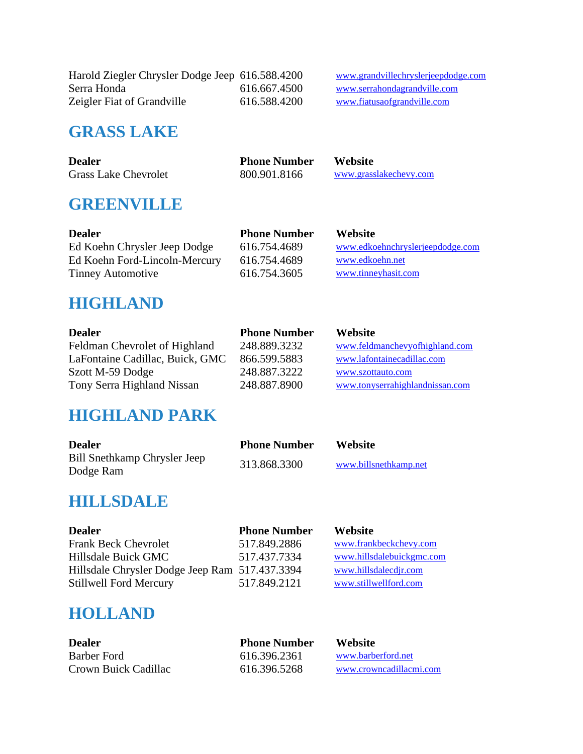Harold Ziegler Chrysler Dodge Jeep 616.588.4200 [www.grandvillechryslerjeepdodge.com](http://www.grandvillechryslerjeepdodge.com/)<br>616.667.4500 www.serrahondagrandville.com Zeigler Fiat of Grandville 616.588.4200 www.fiatusaofgrandville.com

616.667.4500 [www.serrahondagrandville.com](http://www.serrahondagrandville.com/)

#### **GRASS LAKE**

| <b>Dealer</b>               | <b>Phone Number</b> | <b>Website</b>         |
|-----------------------------|---------------------|------------------------|
| <b>Grass Lake Chevrolet</b> | 800.901.8166        | www.grasslakechevy.com |

### **GREENVILLE**

| <b>Dealer</b>                 | <b>Phone Number</b> | <b>Website</b>                   |
|-------------------------------|---------------------|----------------------------------|
| Ed Koehn Chrysler Jeep Dodge  | 616.754.4689        | www.edkoehnchryslerjeepdodge.com |
| Ed Koehn Ford-Lincoln-Mercury | 616.754.4689        | www.edkoehn.net                  |
| <b>Tinney Automotive</b>      | 616.754.3605        | www.tinneyhasit.com              |

#### **HIGHLAND**

| <b>Dealer</b>                   | <b>Phone Number</b> | <b>Website</b>                  |
|---------------------------------|---------------------|---------------------------------|
| Feldman Chevrolet of Highland   | 248.889.3232        | www.feldmanchevyofhighland.com  |
| LaFontaine Cadillac, Buick, GMC | 866.599.5883        | www.lafontainecadillac.com      |
| Szott M-59 Dodge                | 248.887.3222        | www.szottauto.com               |
| Tony Serra Highland Nissan      | 248.887.8900        | www.tonyserrahighlandnissan.com |

#### **HIGHLAND PARK**

| <b>Dealer</b>                             | <b>Phone Number</b> | <b>Website</b>        |
|-------------------------------------------|---------------------|-----------------------|
| Bill Snethkamp Chrysler Jeep<br>Dodge Ram | 313.868.3300        | www.billsnethkamp.net |

### **HILLSDALE**

| <b>Dealer</b>                                  | <b>Phone Number</b> | <b>Website</b>            |
|------------------------------------------------|---------------------|---------------------------|
| <b>Frank Beck Chevrolet</b>                    | 517.849.2886        | www.frankbeckchevy.com    |
| Hillsdale Buick GMC                            | 517.437.7334        | www.hillsdalebuickgmc.com |
| Hillsdale Chrysler Dodge Jeep Ram 517.437.3394 |                     | www.hillsdalecdir.com     |
| <b>Stillwell Ford Mercury</b>                  | 517.849.2121        | www.stillwellford.com     |

#### **HOLLAND**

| <b>Dealer</b>        | <b>Phone Number</b> | <b>Website</b>          |
|----------------------|---------------------|-------------------------|
| Barber Ford          | 616.396.2361        | www.barberford.net      |
| Crown Buick Cadillac | 616.396.5268        | www.crowncadillacmi.com |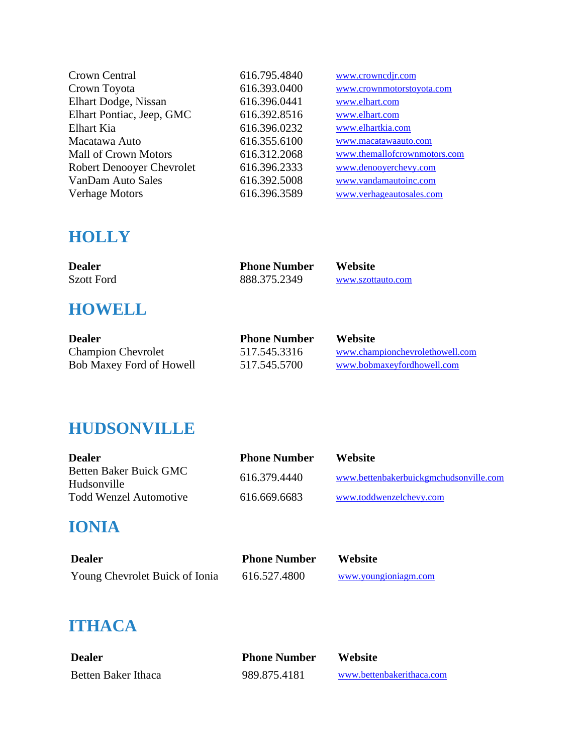| Crown Central                    | 616.795.4840 | www.crowncdjr.com            |
|----------------------------------|--------------|------------------------------|
| Crown Toyota                     | 616.393.0400 | www.crownmotorstoyota.com    |
| Elhart Dodge, Nissan             | 616.396.0441 | www.elhart.com               |
| Elhart Pontiac, Jeep, GMC        | 616.392.8516 | www.elhart.com               |
| Elhart Kia                       | 616.396.0232 | www.elhartkia.com            |
| Macatawa Auto                    | 616.355.6100 | www.macatawaauto.com         |
| <b>Mall of Crown Motors</b>      | 616.312.2068 | www.themallofcrownmotors.com |
| <b>Robert Denooyer Chevrolet</b> | 616.396.2333 | www.denooyerchevy.com        |
| VanDam Auto Sales                | 616.392.5008 | www.vandamautoinc.com        |
| <b>Verhage Motors</b>            | 616.396.3589 | www.verhageautosales.com     |

## **HOLLY**

| <b>Dealer</b>     | <b>Phone Number</b> | <b>Website</b>    |
|-------------------|---------------------|-------------------|
| <b>Szott Ford</b> | 888.375.2349        | www.szottauto.com |

# **HOWELL**

| <b>Dealer</b>                   | <b>Phone Number</b> | Website                         |
|---------------------------------|---------------------|---------------------------------|
| <b>Champion Chevrolet</b>       | 517.545.3316        | www.championchevrolethowell.com |
| <b>Bob Maxey Ford of Howell</b> | 517.545.5700        | www.bobmaxevfordhowell.com      |

## **HUDSONVILLE**

| <b>Dealer</b>                         | <b>Phone Number</b> | Website                                |
|---------------------------------------|---------------------|----------------------------------------|
| Betten Baker Buick GMC<br>Hudsonville | 616.379.4440        | www.bettenbakerbuickgmchudsonville.com |
| <b>Todd Wenzel Automotive</b>         | 616.669.6683        | www.toddwenzelchevy.com                |

## **IONIA**

| <b>Dealer</b>                  | <b>Phone Number</b> | <b>Website</b>       |
|--------------------------------|---------------------|----------------------|
| Young Chevrolet Buick of Ionia | 616.527.4800        | www.youngioniagm.com |

## **ITHACA**

| <b>Dealer</b>       | <b>Phone Number</b> | <b>Website</b>            |
|---------------------|---------------------|---------------------------|
| Betten Baker Ithaca | 989.875.4181        | www.bettenbakerithaca.com |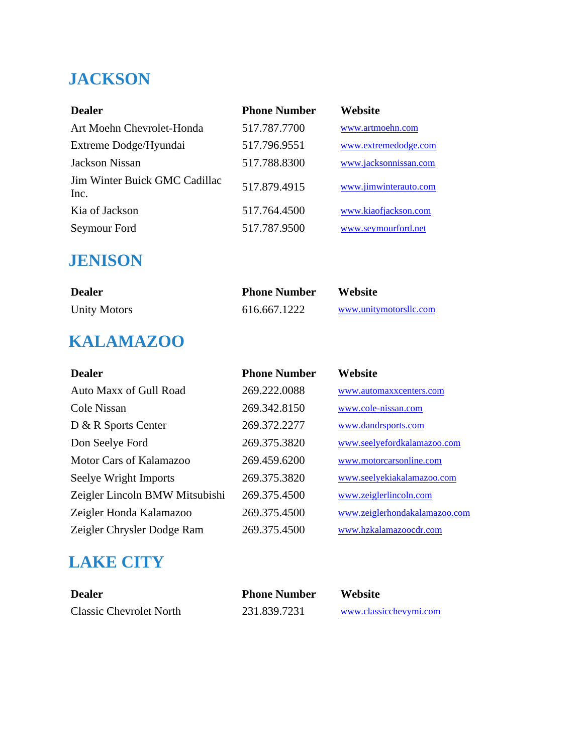# **JACKSON**

| <b>Dealer</b>                         | <b>Phone Number</b> | Website               |
|---------------------------------------|---------------------|-----------------------|
| Art Moehn Chevrolet-Honda             | 517.787.7700        | www.artmoehn.com      |
| Extreme Dodge/Hyundai                 | 517.796.9551        | www.extremedodge.com  |
| Jackson Nissan                        | 517.788.8300        | www.jacksonnissan.com |
| Jim Winter Buick GMC Cadillac<br>Inc. | 517.879.4915        | www.jimwinterauto.com |
| Kia of Jackson                        | 517.764.4500        | www.kiaofjackson.com  |
| Seymour Ford                          | 517.787.9500        | www.seymourford.net   |

### **JENISON**

| <b>Dealer</b>       | <b>Phone Number</b> | <b>Website</b>         |
|---------------------|---------------------|------------------------|
| <b>Unity Motors</b> | 616.667.1222        | www.unitymotorsllc.com |

# **KALAMAZOO**

| <b>Dealer</b>                  | <b>Phone Number</b> | Website                       |
|--------------------------------|---------------------|-------------------------------|
| Auto Maxx of Gull Road         | 269.222.0088        | www.automaxxcenters.com       |
| Cole Nissan                    | 269.342.8150        | www.cole-nissan.com           |
| D & R Sports Center            | 269.372.2277        | www.dandrsports.com           |
| Don Seelye Ford                | 269.375.3820        | www.seelyefordkalamazoo.com   |
| Motor Cars of Kalamazoo        | 269.459.6200        | www.motorcarsonline.com       |
| Seelye Wright Imports          | 269.375.3820        | www.seelyekiakalamazoo.com    |
| Zeigler Lincoln BMW Mitsubishi | 269.375.4500        | www.zeiglerlincoln.com        |
| Zeigler Honda Kalamazoo        | 269.375.4500        | www.zeiglerhondakalamazoo.com |
| Zeigler Chrysler Dodge Ram     | 269.375.4500        | www.hzkalamazoocdr.com        |

# **LAKE CITY**

| <b>Dealer</b>                  | <b>Phone Number</b> | <b>Website</b>         |
|--------------------------------|---------------------|------------------------|
| <b>Classic Chevrolet North</b> | 231.839.7231        | www.classicchevymi.com |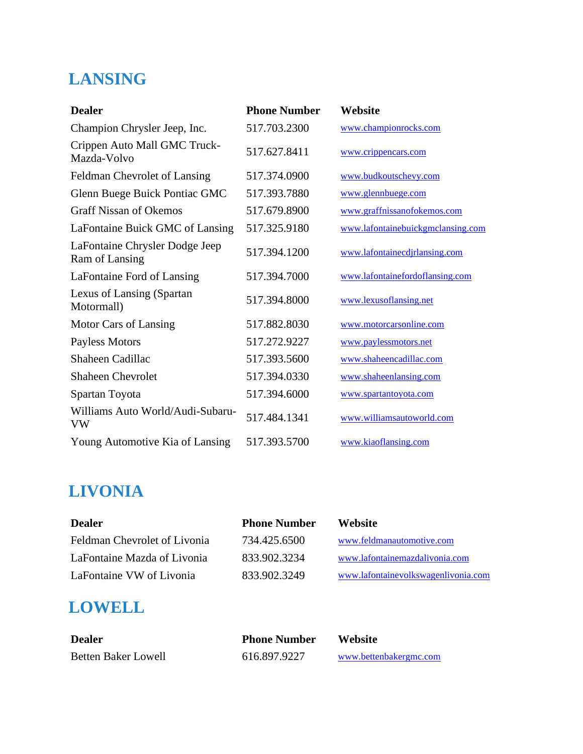# **LANSING**

| <b>Dealer</b>                                    | <b>Phone Number</b> | Website                           |
|--------------------------------------------------|---------------------|-----------------------------------|
| Champion Chrysler Jeep, Inc.                     | 517.703.2300        | www.championrocks.com             |
| Crippen Auto Mall GMC Truck-<br>Mazda-Volvo      | 517.627.8411        | www.crippencars.com               |
| Feldman Chevrolet of Lansing                     | 517.374.0900        | www.budkoutschevy.com             |
| Glenn Buege Buick Pontiac GMC                    | 517.393.7880        | www.glennbuege.com                |
| <b>Graff Nissan of Okemos</b>                    | 517.679.8900        | www.graffnissanofokemos.com       |
| LaFontaine Buick GMC of Lansing                  | 517.325.9180        | www.lafontainebuickgmclansing.com |
| LaFontaine Chrysler Dodge Jeep<br>Ram of Lansing | 517.394.1200        | www.lafontainecdjrlansing.com     |
| LaFontaine Ford of Lansing                       | 517.394.7000        | www.lafontainefordoflansing.com   |
| Lexus of Lansing (Spartan<br>Motormall)          | 517.394.8000        | www.lexusoflansing.net            |
| Motor Cars of Lansing                            | 517.882.8030        | www.motorcarsonline.com           |
| Payless Motors                                   | 517.272.9227        | www.paylessmotors.net             |
| Shaheen Cadillac                                 | 517.393.5600        | www.shaheencadillac.com           |
| <b>Shaheen Chevrolet</b>                         | 517.394.0330        | www.shaheenlansing.com            |
| Spartan Toyota                                   | 517.394.6000        | www.spartantoyota.com             |
| Williams Auto World/Audi-Subaru-<br><b>VW</b>    | 517.484.1341        | www.williamsautoworld.com         |
| Young Automotive Kia of Lansing                  | 517.393.5700        | www.kiaoflansing.com              |

# **LIVONIA**

| <b>Dealer</b>                | <b>Phone Number</b> | <b>Website</b>                      |
|------------------------------|---------------------|-------------------------------------|
| Feldman Chevrolet of Livonia | 734.425.6500        | www.feldmanautomotive.com           |
| LaFontaine Mazda of Livonia  | 833.902.3234        | www.lafontainemazdalivonia.com      |
| LaFontaine VW of Livonia     | 833.902.3249        | www.lafontainevolkswagenlivonia.com |

# **LOWELL**

| Dealer              | <b>Phone Number</b> | Website                |
|---------------------|---------------------|------------------------|
| Betten Baker Lowell | 616.897.9227        | www.bettenbakergmc.com |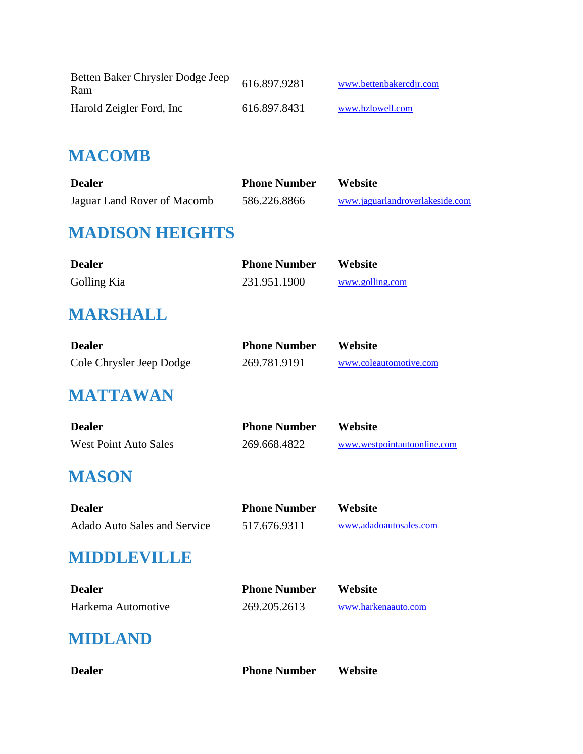| Betten Baker Chrysler Dodge Jeep<br>Ram | 616.897.9281 | www.bettenbakercdir.com |
|-----------------------------------------|--------------|-------------------------|
| Harold Zeigler Ford, Inc.               | 616.897.8431 | www.hzlowell.com        |

### **MACOMB**

| <b>Dealer</b>               | <b>Phone Number</b> | Website                         |
|-----------------------------|---------------------|---------------------------------|
| Jaguar Land Rover of Macomb | 586.226.8866        | www.jaguarlandroverlakeside.com |

## **MADISON HEIGHTS**

| <b>Dealer</b> | <b>Phone Number</b> | <b>Website</b>  |
|---------------|---------------------|-----------------|
| Golling Kia   | 231.951.1900        | www.golling.com |

## **MARSHALL**

| <b>Dealer</b>            | <b>Phone Number</b> | <b>Website</b>         |
|--------------------------|---------------------|------------------------|
| Cole Chrysler Jeep Dodge | 269.781.9191        | www.coleautomotive.com |

### **MATTAWAN**

| <b>Dealer</b>                | <b>Phone Number</b> | Website                     |
|------------------------------|---------------------|-----------------------------|
| <b>West Point Auto Sales</b> | 269.668.4822        | www.westpointautoonline.com |

## **MASON**

| <b>Dealer</b>                       | <b>Phone Number</b> | <b>Website</b>         |
|-------------------------------------|---------------------|------------------------|
| <b>Adado Auto Sales and Service</b> | 517.676.9311        | www.adadoautosales.com |

### **MIDDLEVILLE**

| <b>Dealer</b>      | <b>Phone Number</b> | Website             |
|--------------------|---------------------|---------------------|
| Harkema Automotive | 269.205.2613        | www.harkenaauto.com |

### **MIDLAND**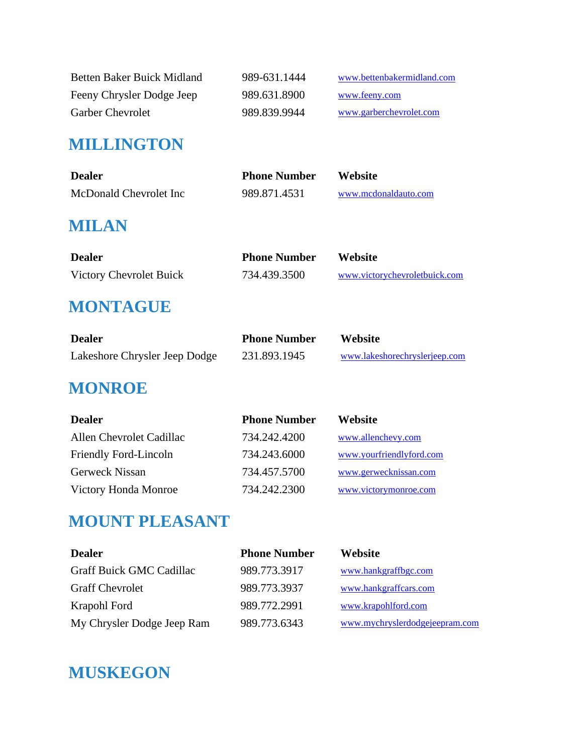| Betten Baker Buick Midland | 989-631.1444 | www.bettenbakermidland.com |
|----------------------------|--------------|----------------------------|
| Feeny Chrysler Dodge Jeep  | 989.631.8900 | www.feeny.com              |
| <b>Garber Chevrolet</b>    | 989.839.9944 | www.garberchevrolet.com    |

### **MILLINGTON**

| <b>Dealer</b>          | <b>Phone Number</b> | Website              |
|------------------------|---------------------|----------------------|
| McDonald Chevrolet Inc | 989.871.4531        | www.mcdonaldauto.com |

## **MILAN**

| <b>Dealer</b>           | <b>Phone Number</b> | <b>Website</b>                |
|-------------------------|---------------------|-------------------------------|
| Victory Chevrolet Buick | 734.439.3500        | www.victorychevroletbuick.com |

### **MONTAGUE**

| <b>Dealer</b>                 | <b>Phone Number</b> | <b>Website</b>                |
|-------------------------------|---------------------|-------------------------------|
| Lakeshore Chrysler Jeep Dodge | 231.893.1945        | www.lakeshorechryslerjeep.com |

### **MONROE**

| <b>Dealer</b>            | <b>Phone Number</b> | Website                  |
|--------------------------|---------------------|--------------------------|
| Allen Chevrolet Cadillac | 734.242.4200        | www.allenchevy.com       |
| Friendly Ford-Lincoln    | 734.243.6000        | www.yourfriendlyford.com |
| Gerweck Nissan           | 734.457.5700        | www.gerwecknissan.com    |
| Victory Honda Monroe     | 734.242.2300        | www.victorymonroe.com    |

## **MOUNT PLEASANT**

| <b>Dealer</b>                   | <b>Phone Number</b> | <b>Website</b>                 |
|---------------------------------|---------------------|--------------------------------|
| <b>Graff Buick GMC Cadillac</b> | 989.773.3917        | www.hankgraffbgc.com           |
| <b>Graff Chevrolet</b>          | 989.773.3937        | www.hankgraffcars.com          |
| Krapohl Ford                    | 989.772.2991        | www.krapohlford.com            |
| My Chrysler Dodge Jeep Ram      | 989.773.6343        | www.mychryslerdodgejeepram.com |

## **MUSKEGON**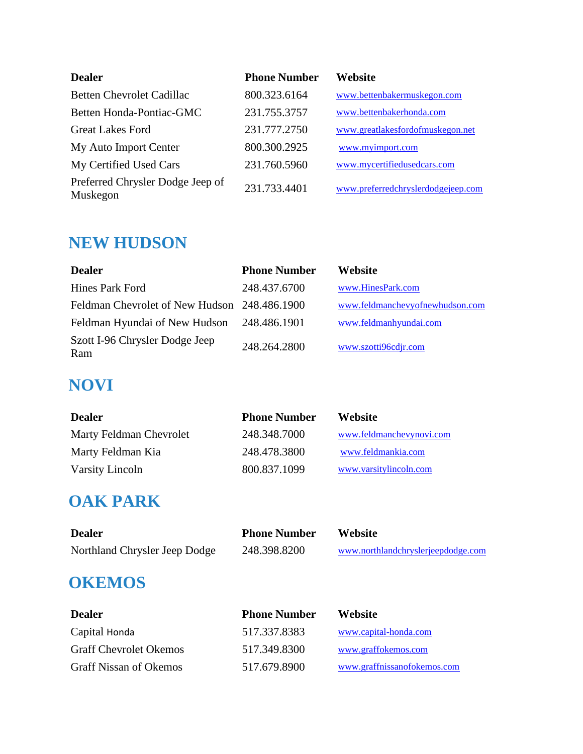| <b>Dealer</b>                                | <b>Phone Number</b> | Website                            |
|----------------------------------------------|---------------------|------------------------------------|
| <b>Betten Chevrolet Cadillac</b>             | 800.323.6164        | www.bettenbakermuskegon.com        |
| Betten Honda-Pontiac-GMC                     | 231.755.3757        | www.bettenbakerhonda.com           |
| <b>Great Lakes Ford</b>                      | 231.777.2750        | www.greatlakesfordofmuskegon.net   |
| My Auto Import Center                        | 800.300.2925        | www.myimport.com                   |
| My Certified Used Cars                       | 231.760.5960        | www.mycertifiedusedcars.com        |
| Preferred Chrysler Dodge Jeep of<br>Muskegon | 231.733.4401        | www.preferredchryslerdodgejeep.com |

## **NEW HUDSON**

| <b>Dealer</b>                                | <b>Phone Number</b> | Website                         |
|----------------------------------------------|---------------------|---------------------------------|
| Hines Park Ford                              | 248.437.6700        | www.HinesPark.com               |
| Feldman Chevrolet of New Hudson 248.486.1900 |                     | www.feldmanchevyofnewhudson.com |
| Feldman Hyundai of New Hudson                | 248.486.1901        | www.feldmanhyundai.com          |
| Szott I-96 Chrysler Dodge Jeep<br>Ram        | 248.264.2800        | www.szotti96cdjr.com            |

## **NOVI**

| <b>Dealer</b>           | <b>Phone Number</b> | <b>Website</b>           |
|-------------------------|---------------------|--------------------------|
| Marty Feldman Chevrolet | 248.348.7000        | www.feldmanchevynovi.com |
| Marty Feldman Kia       | 248.478.3800        | www.feldmankia.com       |
| Varsity Lincoln         | 800.837.1099        | www.varsitylincoln.com   |

## **OAK PARK**

| <b>Dealer</b>                 | <b>Phone Number</b> | Website                            |
|-------------------------------|---------------------|------------------------------------|
| Northland Chrysler Jeep Dodge | 248.398.8200        | www.northlandchryslerjeepdodge.com |
|                               |                     |                                    |

## **OKEMOS**

| <b>Dealer</b>                 | <b>Phone Number</b> | <b>Website</b>              |
|-------------------------------|---------------------|-----------------------------|
| Capital Honda                 | 517.337.8383        | www.capital-honda.com       |
| <b>Graff Chevrolet Okemos</b> | 517.349.8300        | www.graffokemos.com         |
| <b>Graff Nissan of Okemos</b> | 517.679.8900        | www.graffnissanofokemos.com |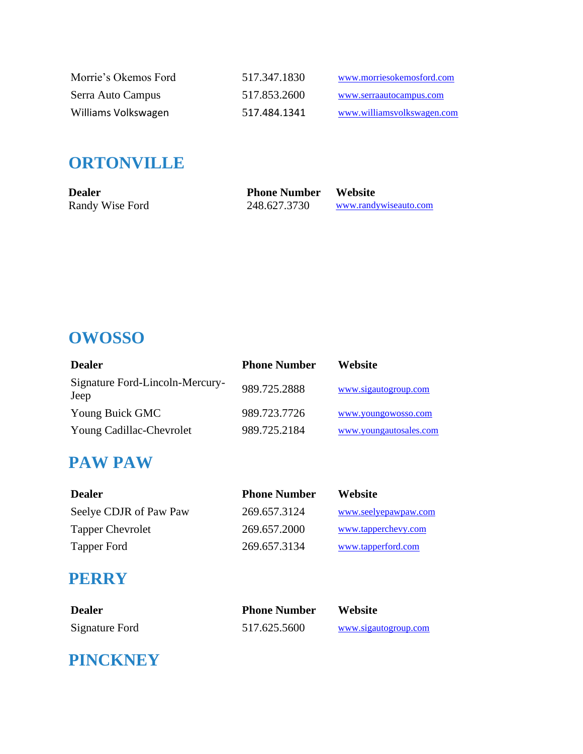| Morrie's Okemos Ford | 517.347.1830 | www.morriesokemosford.com  |
|----------------------|--------------|----------------------------|
| Serra Auto Campus    | 517.853.2600 | www.serraautocampus.com    |
| Williams Volkswagen  | 517.484.1341 | www.williamsyolkswagen.com |

## **ORTONVILLE**

| <b>Dealer</b>   | <b>Phone Number Website</b> |                       |
|-----------------|-----------------------------|-----------------------|
| Randy Wise Ford | 248.627.3730                | www.randywiseauto.com |

# **OWOSSO**

| <b>Dealer</b>                           | <b>Phone Number</b> | Website                |
|-----------------------------------------|---------------------|------------------------|
| Signature Ford-Lincoln-Mercury-<br>Jeep | 989.725.2888        | www.sigautogroup.com   |
| Young Buick GMC                         | 989.723.7726        | www.youngowosso.com    |
| Young Cadillac-Chevrolet                | 989.725.2184        | www.youngautosales.com |

### **PAW PAW**

| Dealer                  | <b>Phone Number</b> | <b>Website</b>       |
|-------------------------|---------------------|----------------------|
| Seelye CDJR of Paw Paw  | 269.657.3124        | www.seelyepawpaw.com |
| <b>Tapper Chevrolet</b> | 269.657.2000        | www.tapperchevy.com  |
| Tapper Ford             | 269.657.3134        | www.tapperford.com   |

### **PERRY**

| <b>Dealer</b>  | <b>Phone Number</b> | <b>Website</b>       |
|----------------|---------------------|----------------------|
| Signature Ford | 517.625.5600        | www.sigautogroup.com |

# **PINCKNEY**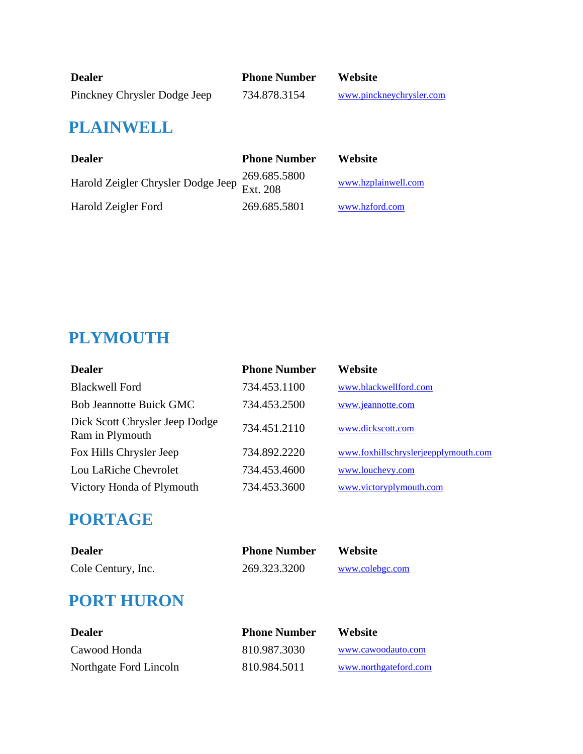| <b>Dealer</b>                | <b>Phone Number</b> | <b>Website</b>           |
|------------------------------|---------------------|--------------------------|
| Pinckney Chrysler Dodge Jeep | 734.878.3154        | www.pinckneychrysler.com |

## **PLAINWELL**

| <b>Dealer</b>                               | <b>Phone Number</b> | Website             |
|---------------------------------------------|---------------------|---------------------|
| Harold Zeigler Chrysler Dodge Jeep Ext. 208 | 269.685.5800        | www.hzplainwell.com |
| Harold Zeigler Ford                         | 269.685.5801        | www.hzford.com      |

# **PLYMOUTH**

| <b>Dealer</b>                                     | <b>Phone Number</b> | Website                              |
|---------------------------------------------------|---------------------|--------------------------------------|
| <b>Blackwell Ford</b>                             | 734.453.1100        | www.blackwellford.com                |
| <b>Bob Jeannotte Buick GMC</b>                    | 734.453.2500        | www.jeannotte.com                    |
| Dick Scott Chrysler Jeep Dodge<br>Ram in Plymouth | 734.451.2110        | www.dickscott.com                    |
| Fox Hills Chrysler Jeep                           | 734.892.2220        | www.foxhillschryslerjeepplymouth.com |
| Lou LaRiche Chevrolet                             | 734.453.4600        | www.louchevy.com                     |
| Victory Honda of Plymouth                         | 734.453.3600        | www.victoryplymouth.com              |

# **PORTAGE**

| <b>Dealer</b>      | <b>Phone Number</b> | <b>Website</b>  |
|--------------------|---------------------|-----------------|
| Cole Century, Inc. | 269.323.3200        | www.colebgc.com |

# **PORT HURON**

| <b>Dealer</b>          | <b>Phone Number</b> | <b>Website</b>        |
|------------------------|---------------------|-----------------------|
| Cawood Honda           | 810.987.3030        | www.cawoodauto.com    |
| Northgate Ford Lincoln | 810.984.5011        | www.northgateford.com |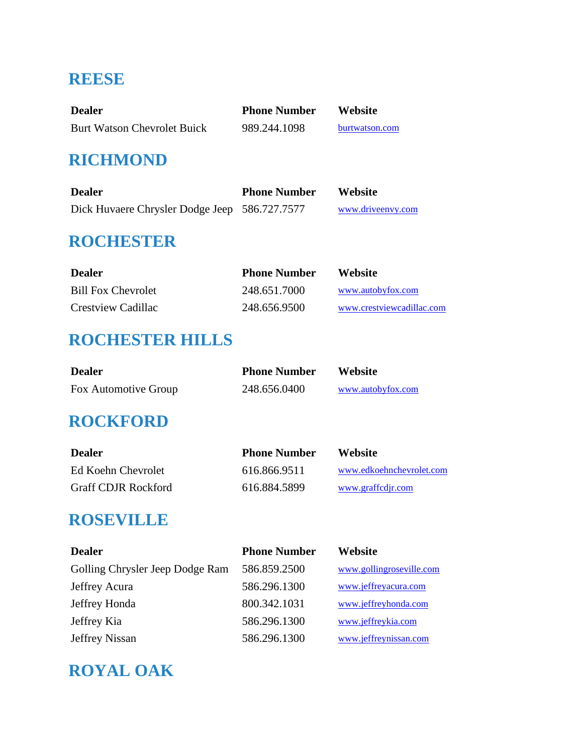## **REESE**

| <b>Dealer</b>                      | <b>Phone Number</b> | <b>Website</b> |
|------------------------------------|---------------------|----------------|
| <b>Burt Watson Chevrolet Buick</b> | 989.244.1098        | burtwatson.com |

## **RICHMOND**

| <b>Dealer</b>                                 | <b>Phone Number</b> | Website           |
|-----------------------------------------------|---------------------|-------------------|
| Dick Huvaere Chrysler Dodge Jeep 586.727.7577 |                     | www.driveenvy.com |

## **ROCHESTER**

| <b>Dealer</b>             | <b>Phone Number</b> | <b>Website</b>            |
|---------------------------|---------------------|---------------------------|
| <b>Bill Fox Chevrolet</b> | 248.651.7000        | www.autobyfox.com         |
| Crestview Cadillac        | 248.656.9500        | www.crestyjewcadillac.com |

## **ROCHESTER HILLS**

| <b>Dealer</b>        | <b>Phone Number</b> | <b>Website</b>    |
|----------------------|---------------------|-------------------|
| Fox Automotive Group | 248.656.0400        | www.autobyfox.com |

## **ROCKFORD**

| <b>Dealer</b>              | <b>Phone Number</b> | <b>Website</b>           |
|----------------------------|---------------------|--------------------------|
| Ed Koehn Chevrolet         | 616.866.9511        | www.edkoehnchevrolet.com |
| <b>Graff CDJR Rockford</b> | 616.884.5899        | www.graffcdjr.com        |

### **ROSEVILLE**

| <b>Dealer</b>                   | <b>Phone Number</b> | Website                  |
|---------------------------------|---------------------|--------------------------|
| Golling Chrysler Jeep Dodge Ram | 586.859.2500        | www.gollingroseville.com |
| Jeffrey Acura                   | 586.296.1300        | www.jeffreyacura.com     |
| Jeffrey Honda                   | 800.342.1031        | www.jeffreyhonda.com     |
| Jeffrey Kia                     | 586.296.1300        | www.jeffreykia.com       |
| Jeffrey Nissan                  | 586.296.1300        | www.jeffreynissan.com    |

# **ROYAL OAK**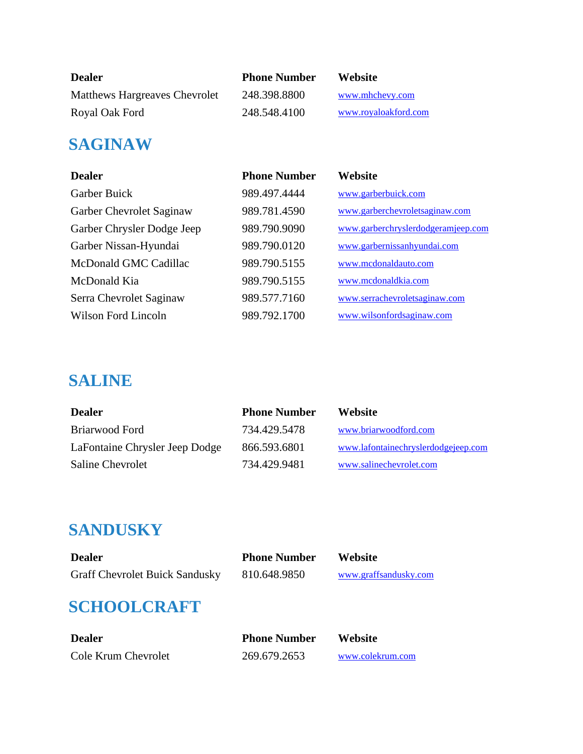| <b>Dealer</b>                 | <b>Phone Number</b> | <b>Website</b>       |
|-------------------------------|---------------------|----------------------|
| Matthews Hargreaves Chevrolet | 248.398.8800        | www.mhchevy.com      |
| Royal Oak Ford                | 248.548.4100        | www.royaloakford.com |

### **SAGINAW**

| <b>Dealer</b>              | <b>Phone Number</b> | Website                            |
|----------------------------|---------------------|------------------------------------|
| Garber Buick               | 989.497.4444        | www.garberbuick.com                |
| Garber Chevrolet Saginaw   | 989.781.4590        | www.garberchevroletsaginaw.com     |
| Garber Chrysler Dodge Jeep | 989.790.9090        | www.garberchryslerdodgeramjeep.com |
| Garber Nissan-Hyundai      | 989.790.0120        | www.garbernissanhyundai.com        |
| McDonald GMC Cadillac      | 989.790.5155        | www.mcdonaldauto.com               |
| McDonald Kia               | 989.790.5155        | www.mcdonaldkia.com                |
| Serra Chevrolet Saginaw    | 989.577.7160        | www.serrachevroletsaginaw.com      |
| Wilson Ford Lincoln        | 989.792.1700        | www.wilsonfordsaginaw.com          |

## **SALINE**

| <b>Dealer</b>                  | <b>Phone Number</b> | <b>Website</b>                      |
|--------------------------------|---------------------|-------------------------------------|
| Briarwood Ford                 | 734.429.5478        | www.briarwoodford.com               |
| LaFontaine Chrysler Jeep Dodge | 866.593.6801        | www.lafontainechryslerdodgejeep.com |
| <b>Saline Chevrolet</b>        | 734.429.9481        | www.salinechevrolet.com             |

## **SANDUSKY**

| <b>Dealer</b>                         | <b>Phone Number</b> | <b>Website</b>        |
|---------------------------------------|---------------------|-----------------------|
| <b>Graff Chevrolet Buick Sandusky</b> | 810.648.9850        | www.graffsandusky.com |

# **SCHOOLCRAFT**

| <b>Dealer</b>       | <b>Phone Number</b> | Website          |
|---------------------|---------------------|------------------|
| Cole Krum Chevrolet | 269.679.2653        | www.colekrum.com |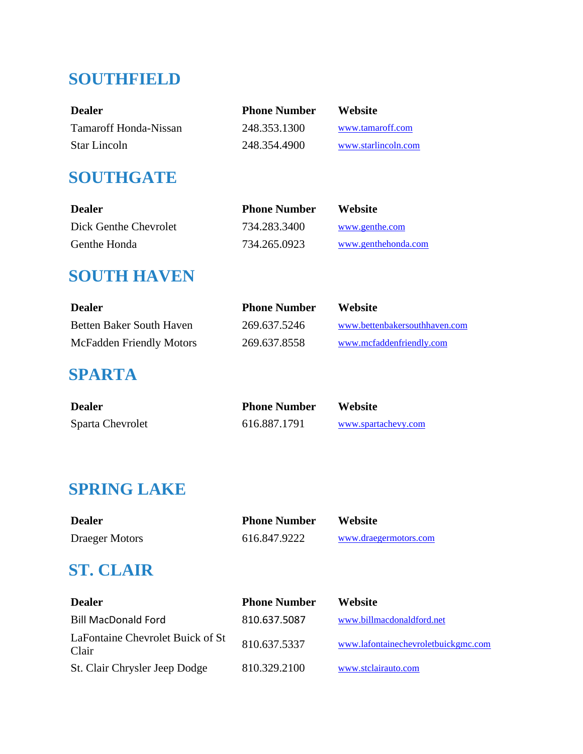## **SOUTHFIELD**

| <b>Dealer</b>         | <b>Phone Number</b> | <b>Website</b>      |
|-----------------------|---------------------|---------------------|
| Tamaroff Honda-Nissan | 248.353.1300        | www.tamaroff.com    |
| <b>Star Lincoln</b>   | 248.354.4900        | www.starlincoln.com |

## **SOUTHGATE**

| <b>Dealer</b>         | <b>Phone Number</b> | <b>Website</b>      |
|-----------------------|---------------------|---------------------|
| Dick Genthe Chevrolet | 734.283.3400        | www.genthe.com      |
| Genthe Honda          | 734.265.0923        | www.genthehonda.com |

## **SOUTH HAVEN**

| <b>Dealer</b>                   | <b>Phone Number</b> | Website                       |
|---------------------------------|---------------------|-------------------------------|
| Betten Baker South Haven        | 269.637.5246        | www.bettenbakersouthhaven.com |
| <b>McFadden Friendly Motors</b> | 269.637.8558        | www.mcfaddenfriendly.com      |

### **SPARTA**

| <b>Dealer</b>    | <b>Phone Number</b> | Website             |
|------------------|---------------------|---------------------|
| Sparta Chevrolet | 616.887.1791        | www.spartachevy.com |

## **SPRING LAKE**

| <b>Dealer</b>         | <b>Phone Number</b> | <b>Website</b>        |
|-----------------------|---------------------|-----------------------|
| <b>Draeger Motors</b> | 616.847.9222        | www.draegermotors.com |

# **ST. CLAIR**

| <b>Dealer</b>                             | <b>Phone Number</b> | <b>Website</b>                      |
|-------------------------------------------|---------------------|-------------------------------------|
| <b>Bill MacDonald Ford</b>                | 810.637.5087        | www.billmacdonaldford.net           |
| LaFontaine Chevrolet Buick of St<br>Clair | 810.637.5337        | www.lafontainechevroletbuickgmc.com |
| St. Clair Chrysler Jeep Dodge             | 810.329.2100        | www.stclairauto.com                 |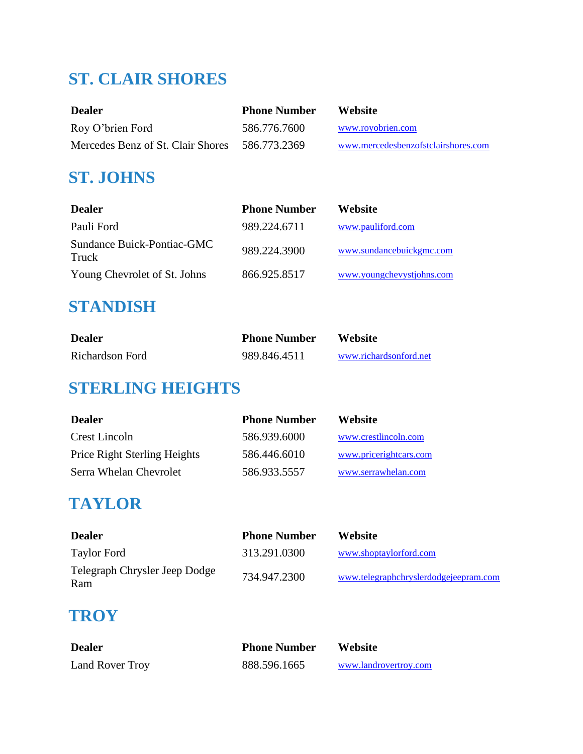# **ST. CLAIR SHORES**

| <b>Dealer</b>                     | <b>Phone Number</b> | Website                             |
|-----------------------------------|---------------------|-------------------------------------|
| Roy O'brien Ford                  | 586.776.7600        | www.royobrien.com                   |
| Mercedes Benz of St. Clair Shores | 586.773.2369        | www.mercedesbenzofstclairshores.com |

## **ST. JOHNS**

| <b>Dealer</b>                       | <b>Phone Number</b> | Website                   |
|-------------------------------------|---------------------|---------------------------|
| Pauli Ford                          | 989.224.6711        | www.pauliford.com         |
| Sundance Buick-Pontiac-GMC<br>Truck | 989.224.3900        | www.sundancebuickgmc.com  |
| Young Chevrolet of St. Johns        | 866.925.8517        | www.youngchevystjohns.com |

## **STANDISH**

| <b>Dealer</b>   | <b>Phone Number</b> | <b>Website</b>         |
|-----------------|---------------------|------------------------|
| Richardson Ford | 989.846.4511        | www.richardsonford.net |

# **STERLING HEIGHTS**

| <b>Dealer</b>                | <b>Phone Number</b> | <b>Website</b>         |
|------------------------------|---------------------|------------------------|
| Crest Lincoln                | 586.939.6000        | www.crestlincoln.com   |
| Price Right Sterling Heights | 586.446.6010        | www.pricerightcars.com |
| Serra Whelan Chevrolet       | 586.933.5557        | www.serrawhelan.com    |

## **TAYLOR**

| <b>Dealer</b>                        | <b>Phone Number</b> | <b>Website</b>                        |
|--------------------------------------|---------------------|---------------------------------------|
| <b>Taylor Ford</b>                   | 313.291.0300        | www.shoptaylorford.com                |
| Telegraph Chrysler Jeep Dodge<br>Ram | 734.947.2300        | www.telegraphchryslerdodgejeepram.com |

## **TROY**

| <b>Dealer</b>   | <b>Phone Number</b> | <b>Website</b>        |
|-----------------|---------------------|-----------------------|
| Land Rover Troy | 888.596.1665        | www.landrovertroy.com |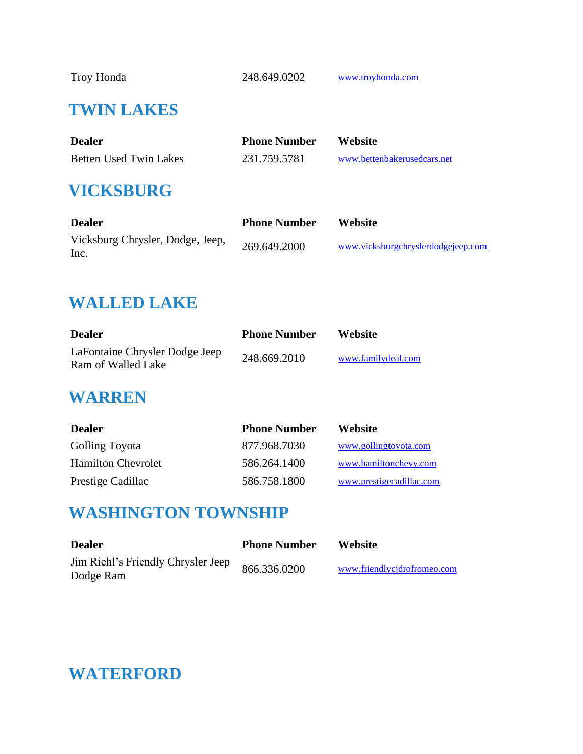Troy Honda 248.649.0202 [www.troyhonda.com](http://www.troyhonda.com/)

### **TWIN LAKES**

| <b>Dealer</b>          | <b>Phone Number</b> | <b>Website</b>              |
|------------------------|---------------------|-----------------------------|
| Betten Used Twin Lakes | 231.759.5781        | www.bettenbakerusedcars.net |

### **VICKSBURG**

| <b>Dealer</b>                            | <b>Phone Number</b> | <b>Website</b>                     |
|------------------------------------------|---------------------|------------------------------------|
| Vicksburg Chrysler, Dodge, Jeep,<br>Inc. | 269.649.2000        | www.vicksburgchryslerdodgejeep.com |

### **WALLED LAKE**

| <b>Dealer</b>                                        | <b>Phone Number</b> | Website            |
|------------------------------------------------------|---------------------|--------------------|
| LaFontaine Chrysler Dodge Jeep<br>Ram of Walled Lake | 248.669.2010        | www.familydeal.com |

#### **WARREN**

| <b>Dealer</b>             | <b>Phone Number</b> | <b>Website</b>           |
|---------------------------|---------------------|--------------------------|
| <b>Golling Toyota</b>     | 877.968.7030        | www.gollingtoyota.com    |
| <b>Hamilton Chevrolet</b> | 586.264.1400        | www.hamiltonchevy.com    |
| Prestige Cadillac         | 586.758.1800        | www.prestigecadillac.com |

### **WASHINGTON TOWNSHIP**

| <b>Dealer</b>                                   | <b>Phone Number</b> | <b>Website</b>              |
|-------------------------------------------------|---------------------|-----------------------------|
| Jim Riehl's Friendly Chrysler Jeep<br>Dodge Ram | 866.336.0200        | www.friendlycidrofromeo.com |

## **WATERFORD**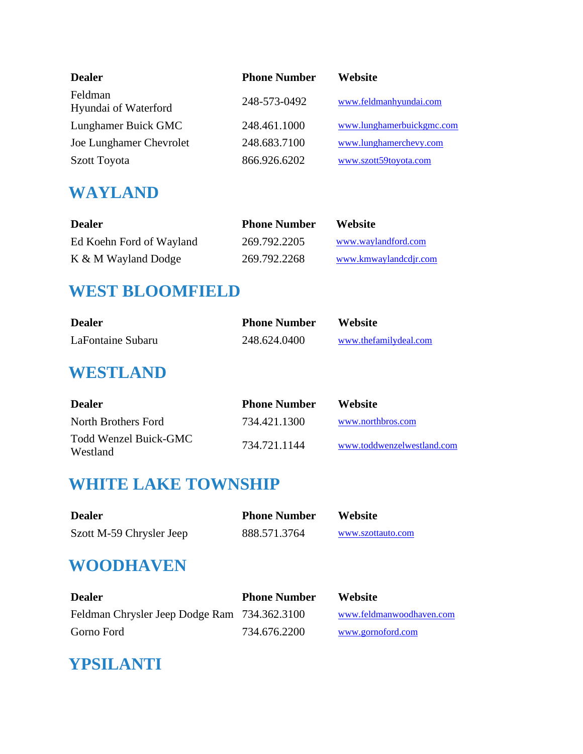| <b>Dealer</b>                   | <b>Phone Number</b> | Website                   |
|---------------------------------|---------------------|---------------------------|
| Feldman<br>Hyundai of Waterford | 248-573-0492        | www.feldmanhyundai.com    |
| Lunghamer Buick GMC             | 248.461.1000        | www.lunghamerbuickgmc.com |
| Joe Lunghamer Chevrolet         | 248.683.7100        | www.lunghamerchevy.com    |
| Szott Toyota                    | 866.926.6202        | www.szott59toyota.com     |

## **WAYLAND**

| <b>Dealer</b>            | <b>Phone Number</b> | <b>Website</b>        |
|--------------------------|---------------------|-----------------------|
| Ed Koehn Ford of Wayland | 269.792.2205        | www.waylandford.com   |
| K & M Wayland Dodge      | 269.792.2268        | www.kmwaylandcdjr.com |

### **WEST BLOOMFIELD**

| <b>Dealer</b>     | <b>Phone Number</b> | <b>Website</b>        |
|-------------------|---------------------|-----------------------|
| LaFontaine Subaru | 248.624.0400        | www.thefamilydeal.com |

## **WESTLAND**

| <b>Dealer</b>                     | <b>Phone Number</b> | <b>Website</b>             |
|-----------------------------------|---------------------|----------------------------|
| North Brothers Ford               | 734.421.1300        | www.northbros.com          |
| Todd Wenzel Buick-GMC<br>Westland | 734.721.1144        | www.toddwenzelwestland.com |

# **WHITE LAKE TOWNSHIP**

| <b>Dealer</b>            | <b>Phone Number</b> | <b>Website</b>    |
|--------------------------|---------------------|-------------------|
| Szott M-59 Chrysler Jeep | 888.571.3764        | www.szottauto.com |

## **WOODHAVEN**

| <b>Dealer</b>                                | <b>Phone Number</b> | <b>Website</b>           |
|----------------------------------------------|---------------------|--------------------------|
| Feldman Chrysler Jeep Dodge Ram 734.362.3100 |                     | www.feldmanwoodhaven.com |
| Gorno Ford                                   | 734.676.2200        | www.gornoford.com        |

## **YPSILANTI**